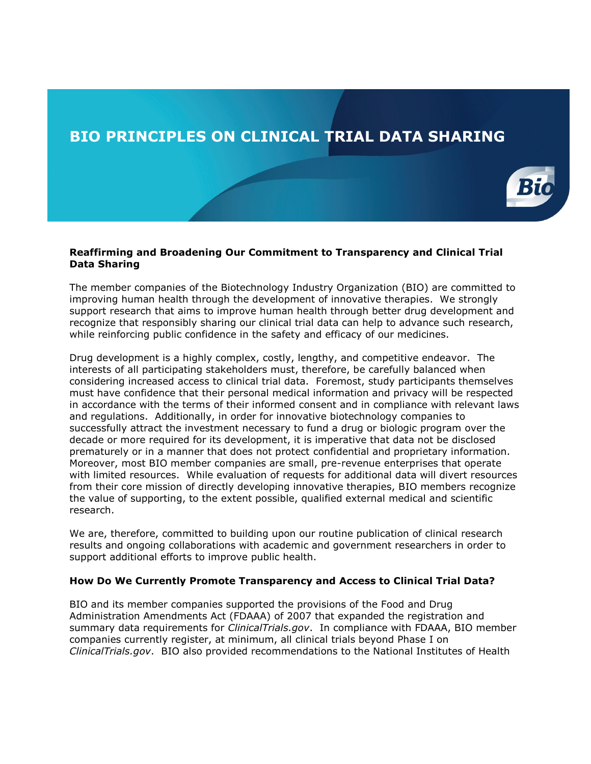## **BIO PRINCIPLES ON CLINICAL TRIAL DATA SHARING**



## **Reaffirming and Broadening Our Commitment to Transparency and Clinical Trial Data Sharing**

The member companies of the Biotechnology Industry Organization (BIO) are committed to improving human health through the development of innovative therapies. We strongly support research that aims to improve human health through better drug development and recognize that responsibly sharing our clinical trial data can help to advance such research, while reinforcing public confidence in the safety and efficacy of our medicines.

Drug development is a highly complex, costly, lengthy, and competitive endeavor. The interests of all participating stakeholders must, therefore, be carefully balanced when considering increased access to clinical trial data. Foremost, study participants themselves must have confidence that their personal medical information and privacy will be respected in accordance with the terms of their informed consent and in compliance with relevant laws and regulations. Additionally, in order for innovative biotechnology companies to successfully attract the investment necessary to fund a drug or biologic program over the decade or more required for its development, it is imperative that data not be disclosed prematurely or in a manner that does not protect confidential and proprietary information. Moreover, most BIO member companies are small, pre-revenue enterprises that operate with limited resources. While evaluation of requests for additional data will divert resources from their core mission of directly developing innovative therapies, BIO members recognize the value of supporting, to the extent possible, qualified external medical and scientific research.

We are, therefore, committed to building upon our routine publication of clinical research results and ongoing collaborations with academic and government researchers in order to support additional efforts to improve public health.

## **How Do We Currently Promote Transparency and Access to Clinical Trial Data?**

BIO and its member companies supported the provisions of the Food and Drug Administration Amendments Act (FDAAA) of 2007 that expanded the registration and summary data requirements for *ClinicalTrials.gov*. In compliance with FDAAA, BIO member companies currently register, at minimum, all clinical trials beyond Phase I on *ClinicalTrials.gov*. BIO also provided recommendations to the National Institutes of Health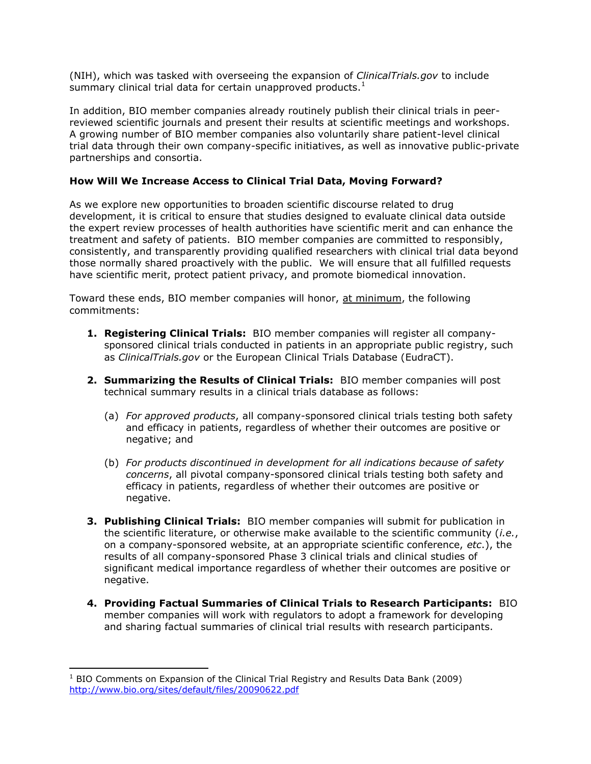(NIH), which was tasked with overseeing the expansion of *ClinicalTrials.gov* to include summary clinical trial data for certain unapproved products. $1$ 

In addition, BIO member companies already routinely publish their clinical trials in peerreviewed scientific journals and present their results at scientific meetings and workshops. A growing number of BIO member companies also voluntarily share patient-level clinical trial data through their own company-specific initiatives, as well as innovative public-private partnerships and consortia.

## **How Will We Increase Access to Clinical Trial Data, Moving Forward?**

As we explore new opportunities to broaden scientific discourse related to drug development, it is critical to ensure that studies designed to evaluate clinical data outside the expert review processes of health authorities have scientific merit and can enhance the treatment and safety of patients. BIO member companies are committed to responsibly, consistently, and transparently providing qualified researchers with clinical trial data beyond those normally shared proactively with the public. We will ensure that all fulfilled requests have scientific merit, protect patient privacy, and promote biomedical innovation.

Toward these ends, BIO member companies will honor, at minimum, the following commitments:

- **1. Registering Clinical Trials:** BIO member companies will register all companysponsored clinical trials conducted in patients in an appropriate public registry, such as *ClinicalTrials.gov* or the European Clinical Trials Database (EudraCT).
- **2. Summarizing the Results of Clinical Trials:** BIO member companies will post technical summary results in a clinical trials database as follows:
	- (a) *For approved products*, all company-sponsored clinical trials testing both safety and efficacy in patients, regardless of whether their outcomes are positive or negative; and
	- (b) *For products discontinued in development for all indications because of safety concerns*, all pivotal company-sponsored clinical trials testing both safety and efficacy in patients, regardless of whether their outcomes are positive or negative.
- **3. Publishing Clinical Trials:** BIO member companies will submit for publication in the scientific literature, or otherwise make available to the scientific community (*i.e.*, on a company-sponsored website, at an appropriate scientific conference, *etc*.), the results of all company-sponsored Phase 3 clinical trials and clinical studies of significant medical importance regardless of whether their outcomes are positive or negative.
- **4. Providing Factual Summaries of Clinical Trials to Research Participants:** BIO member companies will work with regulators to adopt a framework for developing and sharing factual summaries of clinical trial results with research participants.

 $\overline{a}$ 

 $1$  BIO Comments on Expansion of the Clinical Trial Registry and Results Data Bank (2009) <http://www.bio.org/sites/default/files/20090622.pdf>